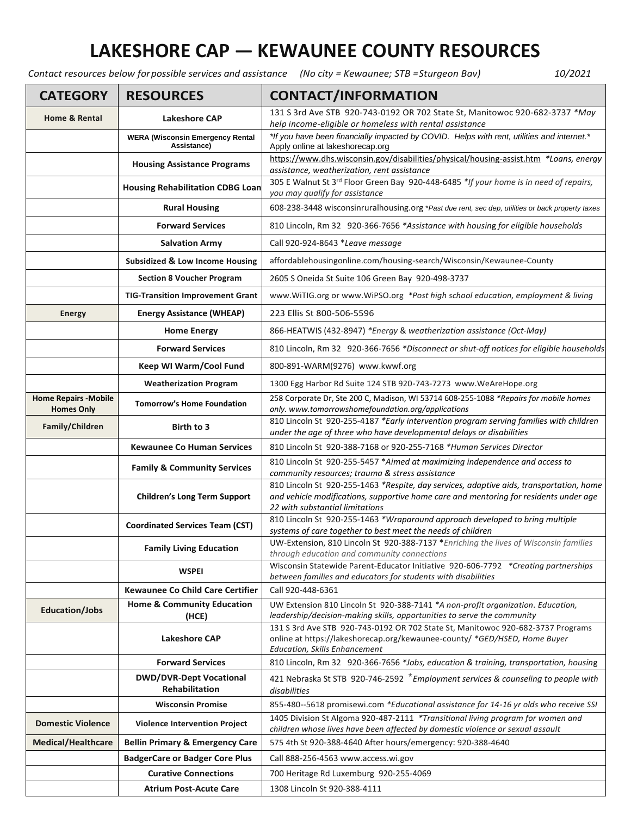## **LAKESHORE CAP — KEWAUNEE COUNTY RESOURCES**

*Contact resources below forpossible services and assistance (No city = Kewaunee; STB =Sturgeon Bav) 10/2021*

| <b>CATEGORY</b>                                   | <b>RESOURCES</b>                                        | <b>CONTACT/INFORMATION</b>                                                                                                                                                                                          |
|---------------------------------------------------|---------------------------------------------------------|---------------------------------------------------------------------------------------------------------------------------------------------------------------------------------------------------------------------|
| <b>Home &amp; Rental</b>                          | <b>Lakeshore CAP</b>                                    | 131 S 3rd Ave STB 920-743-0192 OR 702 State St, Manitowoc 920-682-3737 *May<br>help income-eligible or homeless with rental assistance                                                                              |
|                                                   | <b>WERA (Wisconsin Emergency Rental</b><br>Assistance)  | *If you have been financially impacted by COVID. Helps with rent, utilities and internet.*<br>Apply online at lakeshorecap.org                                                                                      |
|                                                   | <b>Housing Assistance Programs</b>                      | https://www.dhs.wisconsin.gov/disabilities/physical/housing-assist.htm *Loans, energy<br>assistance, weatherization, rent assistance                                                                                |
|                                                   | <b>Housing Rehabilitation CDBG Loan</b>                 | 305 E Walnut St 3rd Floor Green Bay 920-448-6485 *If your home is in need of repairs,<br>you may qualify for assistance                                                                                             |
|                                                   | <b>Rural Housing</b>                                    | 608-238-3448 wisconsinruralhousing.org *Past due rent, sec dep, utilities or back property taxes                                                                                                                    |
|                                                   | <b>Forward Services</b>                                 | 810 Lincoln, Rm 32 920-366-7656 *Assistance with housing for eligible households                                                                                                                                    |
|                                                   | <b>Salvation Army</b>                                   | Call 920-924-8643 *Leave message                                                                                                                                                                                    |
|                                                   | Subsidized & Low Income Housing                         | affordablehousingonline.com/housing-search/Wisconsin/Kewaunee-County                                                                                                                                                |
|                                                   | <b>Section 8 Voucher Program</b>                        | 2605 S Oneida St Suite 106 Green Bay 920-498-3737                                                                                                                                                                   |
|                                                   | <b>TIG-Transition Improvement Grant</b>                 | www.WiTIG.org or www.WiPSO.org *Post high school education, employment & living                                                                                                                                     |
| <b>Energy</b>                                     | <b>Energy Assistance (WHEAP)</b>                        | 223 Ellis St 800-506-5596                                                                                                                                                                                           |
|                                                   | <b>Home Energy</b>                                      | 866-HEATWIS (432-8947) *Energy & weatherization assistance (Oct-May)                                                                                                                                                |
|                                                   | <b>Forward Services</b>                                 | 810 Lincoln, Rm 32 920-366-7656 *Disconnect or shut-off notices for eligible households                                                                                                                             |
|                                                   | <b>Keep WI Warm/Cool Fund</b>                           | 800-891-WARM(9276) www.kwwf.org                                                                                                                                                                                     |
|                                                   | <b>Weatherization Program</b>                           | 1300 Egg Harbor Rd Suite 124 STB 920-743-7273 www.WeAreHope.org                                                                                                                                                     |
| <b>Home Repairs - Mobile</b><br><b>Homes Only</b> | <b>Tomorrow's Home Foundation</b>                       | 258 Corporate Dr, Ste 200 C, Madison, WI 53714 608-255-1088 *Repairs for mobile homes<br>only. www.tomorrowshomefoundation.org/applications                                                                         |
| Family/Children                                   | Birth to 3                                              | 810 Lincoln St 920-255-4187 *Early intervention program serving families with children<br>under the age of three who have developmental delays or disabilities                                                      |
|                                                   | <b>Kewaunee Co Human Services</b>                       | 810 Lincoln St 920-388-7168 or 920-255-7168 *Human Services Director                                                                                                                                                |
|                                                   | <b>Family &amp; Community Services</b>                  | 810 Lincoln St 920-255-5457 *Aimed at maximizing independence and access to<br>community resources; trauma & stress assistance                                                                                      |
|                                                   | <b>Children's Long Term Support</b>                     | 810 Lincoln St 920-255-1463 *Respite, day services, adaptive aids, transportation, home<br>and vehicle modifications, supportive home care and mentoring for residents under age<br>22 with substantial limitations |
|                                                   | <b>Coordinated Services Team (CST)</b>                  | 810 Lincoln St 920-255-1463 *Wraparound approach developed to bring multiple<br>systems of care together to best meet the needs of children                                                                         |
|                                                   | <b>Family Living Education</b>                          | UW-Extension, 810 Lincoln St 920-388-7137 *Enriching the lives of Wisconsin families<br>through education and community connections                                                                                 |
|                                                   | <b>WSPEI</b>                                            | Wisconsin Statewide Parent-Educator Initiative 920-606-7792 *Creating partnerships<br>between families and educators for students with disabilities                                                                 |
|                                                   | <b>Kewaunee Co Child Care Certifier</b>                 | Call 920-448-6361                                                                                                                                                                                                   |
| <b>Education/Jobs</b>                             | <b>Home &amp; Community Education</b><br>(HCE)          | UW Extension 810 Lincoln St 920-388-7141 *A non-profit organization. Education,<br>leadership/decision-making skills, opportunities to serve the community                                                          |
|                                                   | <b>Lakeshore CAP</b>                                    | 131 S 3rd Ave STB 920-743-0192 OR 702 State St, Manitowoc 920-682-3737 Programs<br>online at https://lakeshorecap.org/kewaunee-county/ *GED/HSED, Home Buyer<br>Education, Skills Enhancement                       |
|                                                   | <b>Forward Services</b>                                 | 810 Lincoln, Rm 32 920-366-7656 *Jobs, education & training, transportation, housing                                                                                                                                |
|                                                   | <b>DWD/DVR-Dept Vocational</b><br><b>Rehabilitation</b> | 421 Nebraska St STB 920-746-2592 *Employment services & counseling to people with<br>disabilities                                                                                                                   |
|                                                   | <b>Wisconsin Promise</b>                                | 855-480--5618 promisewi.com *Educational assistance for 14-16 yr olds who receive SSI                                                                                                                               |
| <b>Domestic Violence</b>                          | <b>Violence Intervention Project</b>                    | 1405 Division St Algoma 920-487-2111 *Transitional living program for women and<br>children whose lives have been affected by domestic violence or sexual assault                                                   |
| <b>Medical/Healthcare</b>                         | <b>Bellin Primary &amp; Emergency Care</b>              | 575 4th St 920-388-4640 After hours/emergency: 920-388-4640                                                                                                                                                         |
|                                                   | <b>BadgerCare or Badger Core Plus</b>                   | Call 888-256-4563 www.access.wi.gov                                                                                                                                                                                 |
|                                                   | <b>Curative Connections</b>                             | 700 Heritage Rd Luxemburg 920-255-4069                                                                                                                                                                              |
|                                                   | <b>Atrium Post-Acute Care</b>                           | 1308 Lincoln St 920-388-4111                                                                                                                                                                                        |